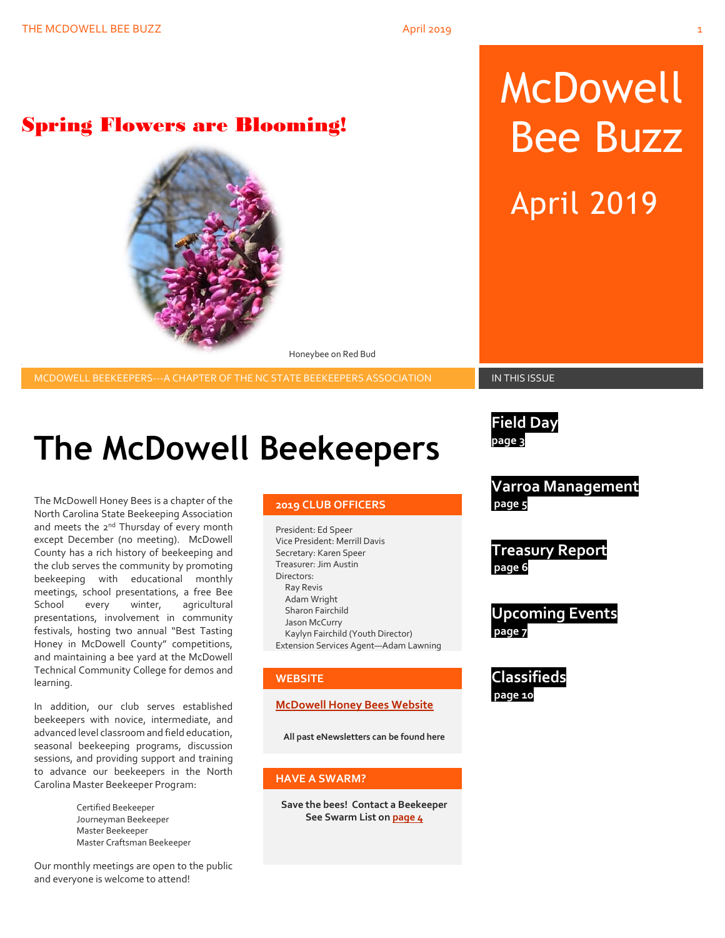# McDowell Bee Buzz April 2019

Spring Flowers are Blooming!



Honeybee on Red Bud

MCDOWELL BEEKEEPERS---A CHAPTER OF THE NC STATE BEEKEEPERS ASSOCIATION **IN THIS ISSUE** 

# **The McDowell Beekeepers**

The McDowell Honey Bees is a chapter of the North Carolina State Beekeeping Association and meets the 2<sup>nd</sup> Thursday of every month except December (no meeting). McDowell County has a rich history of beekeeping and the club serves the community by promoting beekeeping with educational monthly meetings, school presentations, a free Bee School every winter, agricultural presentations, involvement in community festivals, hosting two annual "Best Tasting Honey in McDowell County" competitions, and maintaining a bee yard at the McDowell Technical Community College for demos and learning.

In addition, our club serves established beekeepers with novice, intermediate, and advanced level classroom and field education, seasonal beekeeping programs, discussion sessions, and providing support and training to advance our beekeepers in the North Carolina Master Beekeeper Program:

> Certified Beekeeper Journeyman Beekeeper Master Beekeeper Master Craftsman Beekeeper

Our monthly meetings are open to the public and everyone is welcome to attend!

#### **2019 CLUB OFFICERS**

President: Ed Speer Vice President: Merrill Davis Secretary: Karen Speer Treasurer: Jim Austin Directors: Ray Revis Adam Wright Sharon Fairchild Jason McCurry Kaylyn Fairchild (Youth Director) Extension Services Agent—Adam Lawning

#### **WEBSITE**

#### **[McDowell Honey Bees Website](http://www.mcdowellhoneybees.org/)**

**All past eNewsletters can be found here**

#### **HAVE A SWARM?**

**Save the bees! Contact a Beekeeper See Swarm List o[n page 4](#page-8-0)**

**Field Day page 3**

**Varroa Management page 5**

**Treasury Report page 6**

**Upcoming Events page 7**

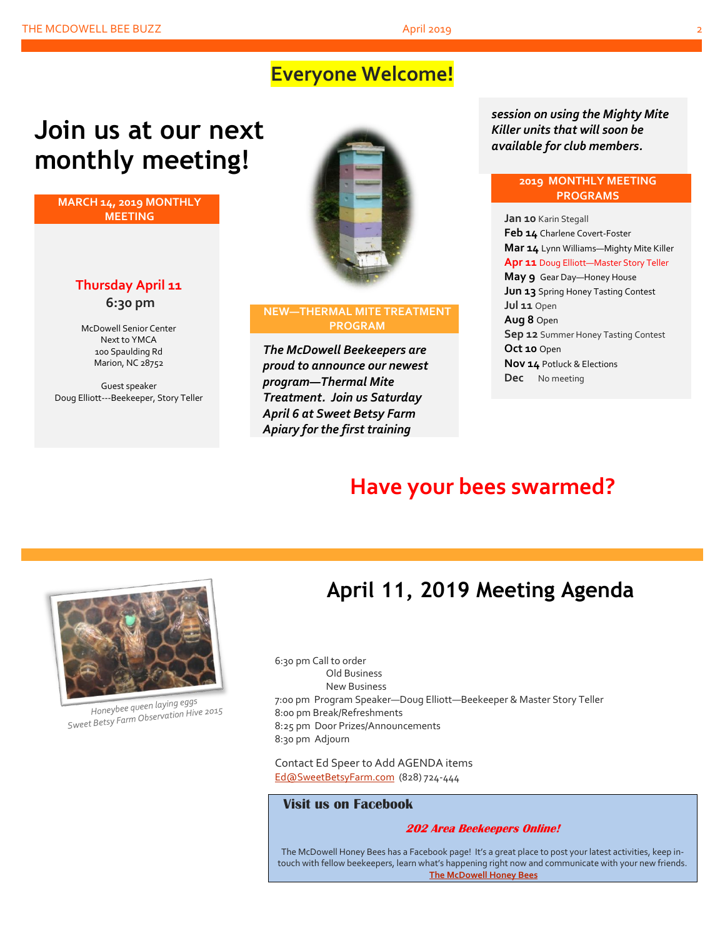### **Everyone Welcome!**

## **Join us at our next monthly meeting!**

**MARCH 14, 2019 MONTHLY MEETING**

### **Thursday April 11 6:30 pm**

McDowell Senior Center Next to YMCA 100 Spaulding Rd Marion, NC 28752

Guest speaker Doug Elliott---Beekeeper, Story Teller



#### **NEW—THERMAL MITE TREATMENT PROGRAM**

*The McDowell Beekeepers are proud to announce our newest program—Thermal Mite Treatment. Join us Saturday April 6 at Sweet Betsy Farm Apiary for the first training* 

*session on using the Mighty Mite Killer units that will soon be available for club members.*

#### **2019 MONTHLY MEETING PROGRAMS**

**Jan 10** Karin Stegall **Feb 14** Charlene Covert-Foster **Mar 14** Lynn Williams—Mighty Mite Killer **Apr 11** Doug Elliott—Master Story Teller **May 9** Gear Day—Honey House **Jun 13** Spring Honey Tasting Contest **Jul 11** Open **Aug 8** Open **Sep 12** Summer Honey Tasting Contest **Oct 10** Open **Nov 14** Potluck & Elections **Dec** No meeting

## **Have your bees swarmed?**



Honeybee queen laying eggs Honeybee queen laying eggs<br>Sweet Betsy Farm Observation Hive 2015

## **April 11, 2019 Meeting Agenda**

6:30 pm Call to order Old Business New Business 7:00 pm Program Speaker—Doug Elliott—Beekeeper & Master Story Teller 8:00 pm Break/Refreshments 8:25 pm Door Prizes/Announcements 8:30 pm Adjourn

Contact Ed Speer to Add AGENDA items [Ed@SweetBetsyFarm.com](mailto:Ed@SweetBetsyFarm.com) (828) 724-444

#### **Visit us on Facebook**

#### **202 Area Beekeepers Online!**

The McDowell Honey Bees has a Facebook page! It's a great place to post your latest activities, keep intouch with fellow beekeepers, learn what's happening right now and communicate with your new friends. **[The McDowell Honey Bees](https://www.facebook.com/groups/MHBee/)**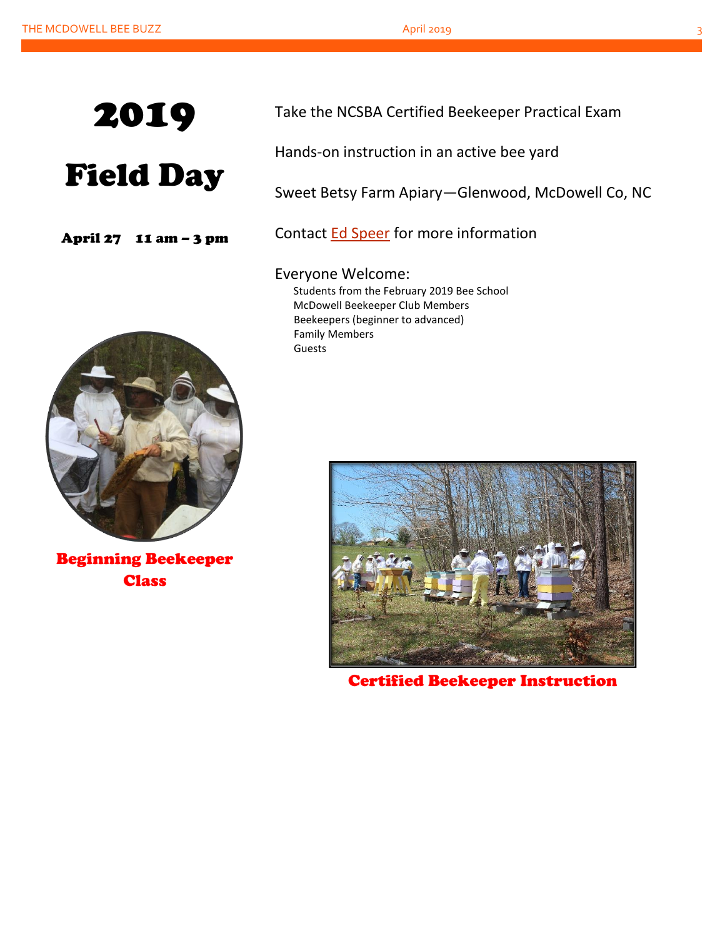# Field Day

April 27 11 am – 3 pm



Beginning Beekeeper **Class** 

Take the NCSBA Certified Beekeeper Practical Exam

Hands-on instruction in an active bee yard

Sweet Betsy Farm Apiary—Glenwood, McDowell Co, NC

Contact [Ed Speer](mailto:Ed@SweetBetsyFarm.com) for more information

Everyone Welcome: Students from the February 2019 Bee School McDowell Beekeeper Club Members Beekeepers (beginner to advanced) Family Members Guests



Certified Beekeeper Instruction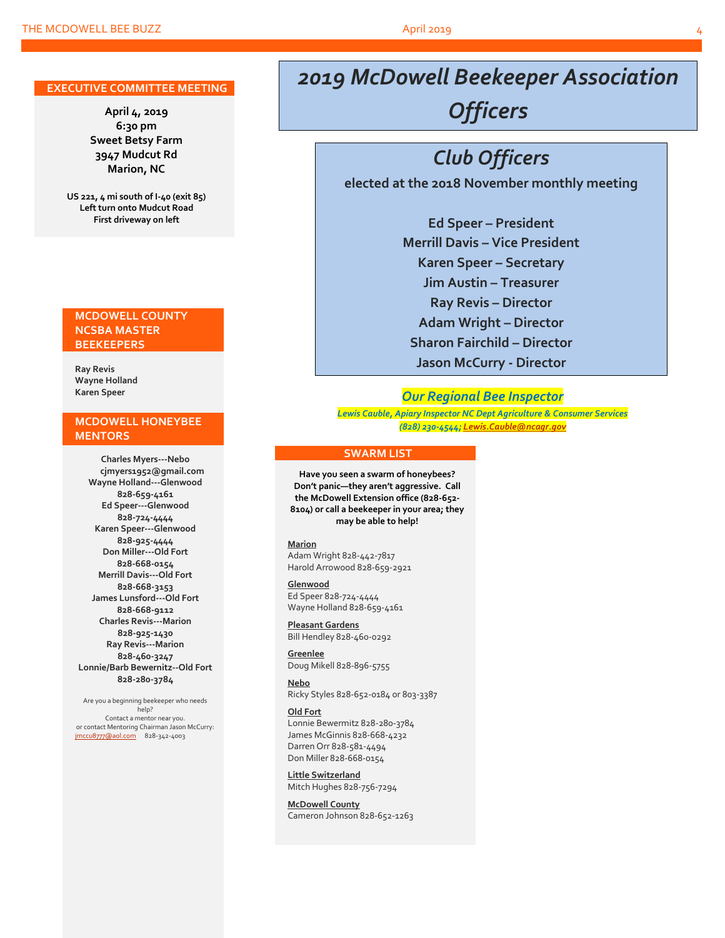#### **EXECUTIVE COMMITTEE MEETING**

**April 4, 2019 6:30 pm Sweet Betsy Farm 3947 Mudcut Rd Marion, NC**

**US 221, 4 mi south of I-40 (exit 85) Left turn onto Mudcut Road First driveway on left**

#### **MCDOWELL COUNTY NCSBA MASTER BEEKEEPERS**

**Ray Revis Wayne Holland Karen Speer**

#### **MCDOWELL HONEYBEE MENTORS**

**Charles Myers---Nebo cjmyers1952@gmail.com Wayne Holland---Glenwood 828-659-4161 Ed Speer---Glenwood 828-724-4444 Karen Speer---Glenwood 828-925-4444 Don Miller---Old Fort 828-668-0154 Merrill Davis---Old Fort 828-668-3153 James Lunsford---Old Fort 828-668-9112 Charles Revis---Marion 828-925-1430 Ray Revis---Marion 828-460-3247 Lonnie/Barb Bewernitz--Old Fort 828-280-3784**

Are you a beginning beekeeper who needs help? Contact a mentor near you. or contact Mentoring Chairman Jason McCurry: [jmccu8777@aol.com](mailto:jmccu8777@aol.com)828-342-4003

## *2019 McDowell Beekeeper Association Officers*

## *Club Officers*

**elected at the 2018 November monthly meeting**

**Ed Speer – President Merrill Davis – Vice President Karen Speer – Secretary Jim Austin – Treasurer Ray Revis – Director Adam Wright – Director Sharon Fairchild – Director Jason McCurry - Director**

#### *Our Regional Bee Inspector*

*Lewis Cauble, Apiary Inspector NC Dept Agriculture & Consumer Services (828) 230-4544[; Lewis.Cauble@ncagr.gov](Lewis.Cauble@ncagr.gov)*

#### **SWARM LIST**

**Have you seen a swarm of honeybees? Don't panic—they aren't aggressive. Call the McDowell Extension office (828-652- 8104) or call a beekeeper in your area; they may be able to help!**

#### **Marion**

Adam Wright 828-442-7817 Harold Arrowood 828-659-2921

#### **Glenwood**

Ed Speer 828-724-4444 Wayne Holland 828-659-4161

**Pleasant Gardens** Bill Hendley 828-460-0292

**Greenlee** Doug Mikell 828-896-5755

**Nebo** Ricky Styles 828-652-0184 or 803-3387

#### **Old Fort**

Lonnie Bewermitz 828-280-3784 James McGinnis 828-668-4232 Darren Orr 828-581-4494 Don Miller 828-668-0154

**Little Switzerland** Mitch Hughes 828-756-7294

**McDowell County** Cameron Johnson 828-652-1263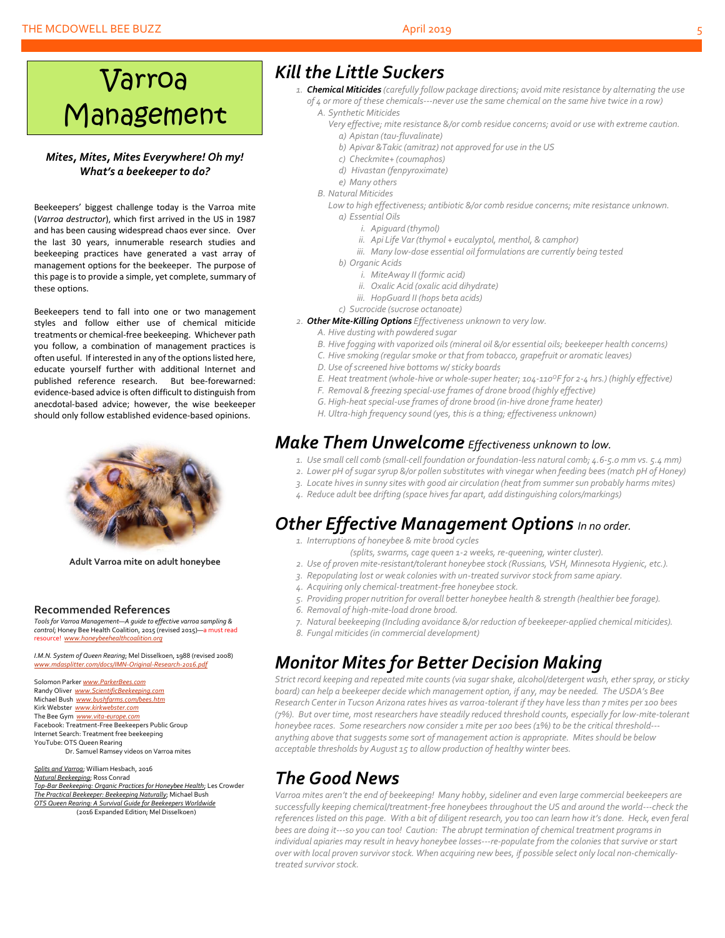#### THE MCDOWELL BEE BUZZ April 2019

# Varroa Management

#### *Mites, Mites, Mites Everywhere! Oh my! What's a beekeeper to do?*

Beekeepers' biggest challenge today is the Varroa mite (*Varroa destructor*), which first arrived in the US in 1987 and has been causing widespread chaos ever since. Over the last 30 years, innumerable research studies and beekeeping practices have generated a vast array of management options for the beekeeper. The purpose of this page is to provide a simple, yet complete, summary of these options.

Beekeepers tend to fall into one or two management styles and follow either use of chemical miticide treatments or chemical-free beekeeping. Whichever path you follow, a combination of management practices is often useful. If interested in any of the options listed here, educate yourself further with additional Internet and published reference research. But bee-forewarned: evidence-based advice is often difficult to distinguish from anecdotal-based advice; however, the wise beekeeper should only follow established evidence-based opinions.



**Adult Varroa mite on adult honeybee**

#### **Recommended References**

*Tools for Varroa Management—A guide to effective varroa sampling & control*; Honey Bee Health Coalition, 2015 (revised 2015)—a must read resource! *[www.honeybeehealthcoalition.org](http://www.honeybeehealthcoalition.org/)*

*I.M.N. System of Queen Rearing*; Mel Disselkoen, 1988 (revised 2008) *[www.mdasplitter.com/docs/IMN-Original-Research-2016.pdf](http://www.mdasplitter.com/docs/IMN-Original-Research-2016.pdf)*

Solomon Parker *[www.ParkerBees.com](http://www.parkerbees.com/)* Randy Oliver *[www.ScientificBeekeeping.com](http://www.scientificbeekeeping.com/)*  Michael Bush *[www.bushfarms.com/bees.htm](http://www.bushfarms.com/bees.htm)* Kirk Webster *[www.kirkwebster.com](http://www.kirkwebster.com/)* The Bee Gym *[www.vita-europe.com](http://www.vita-europe.com/)* Facebook: Treatment-Free Beekeepers Public Group Internet Search: Treatment free beekeeping YouTube: OTS Queen Rearing Dr. Samuel Ramsey videos on Varroa mites

*Splits and Varroa*; William Hesbach, 2016 *Natural Beekeeping*; Ross Conrad *Top-Bar Beekeeping: Organic Practices for Honeybee Health*; Les Crowder *The Practical Beekeeper: Beekeeping Naturally*; Michael Bush *OTS Queen Rearing: A Survival Guide for Beekeepers Worldwide* (2016 Expanded Edition; Mel Disselkoen)

### *Kill the Little Suckers*

- *1. Chemical Miticides (carefully follow package directions; avoid mite resistance by alternating the use of 4 or more of these chemicals---never use the same chemical on the same hive twice in a row) A. Synthetic Miticides*
	-
	- *Very effective; mite resistance &/or comb residue concerns; avoid or use with extreme caution. a) Apistan (tau-fluvalinate)*
		- *b) Apivar &Takic (amitraz) not approved for use in the US*
		- *c) Checkmite+ (coumaphos)*
		- *d) Hivastan (fenpyroximate)*
		- *e) Many others*
	- *B. Natural Miticides*

*Low to high effectiveness; antibiotic &/or comb residue concerns; mite resistance unknown. a) Essential Oils*

- *i. Apiguard (thymol)*
- *ii. Api Life Var (thymol + eucalyptol, menthol, & camphor)*
- *iii. Many low-dose essential oil formulations are currently being tested*
- *b) Organic Acids*
	- *i. MiteAway II (formic acid)*
	- *ii. Oxalic Acid (oxalic acid dihydrate)*
	- *iii. HopGuard II (hops beta acids)*
- *c) Sucrocide (sucrose octanoate)*
- *2. Other Mite-Killing Options Effectiveness unknown to very low.*
	- *A. Hive dusting with powdered sugar*
	- *B. Hive fogging with vaporized oils (mineral oil &/or essential oils; beekeeper health concerns)*
	- *C. Hive smoking (regular smoke or that from tobacco, grapefruit or aromatic leaves)*
	- *D. Use of screened hive bottoms w/ sticky boards*
	- *E. Heat treatment (whole-hive or whole-super heater; 104-110<sup>O</sup>F for 2-4 hrs.) (highly effective)*
	- *F. Removal & freezing special-use frames of drone brood (highly effective)*
	- *G. High-heat special-use frames of drone brood (in-hive drone frame heater)*
	- *H. Ultra-high frequency sound (yes, this is a thing; effectiveness unknown)*

### *Make Them Unwelcome Effectiveness unknown to low.*

- *1. Use small cell comb (small-cell foundation or foundation-less natural comb; 4.6-5.0 mm vs. 5.4 mm)*
- *2. Lower pH of sugarsyrup &/or pollen substitutes with vinegar when feeding bees (match pH of Honey)*
- *3. Locate hives in sunny sites with good air circulation (heat from summer sun probably harms mites)*
- *4. Reduce adult bee drifting (space hivesfar apart, add distinguishing colors/markings)*

### *Other Effective Management Options In no order.*

- *1. Interruptions of honeybee & mite brood cycles*
	- *(splits, swarms, cage queen 1-2 weeks, re-queening, winter cluster).*
- *2. Use of proven mite-resistant/tolerant honeybee stock (Russians, VSH, Minnesota Hygienic, etc.).*
- *3. Repopulating lost or weak colonies with un-treated survivor stock from same apiary.*
- *4. Acquiring only chemical-treatment-free honeybee stock.*
- *5. Providing proper nutrition for overall better honeybee health & strength (healthier bee forage).*
- *6. Removal of high-mite-load drone brood.*
- *7. Natural beekeeping (Including avoidance &/or reduction of beekeeper-applied chemical miticides).*
- *8. Fungal miticides (in commercial development)*

### *Monitor Mites for Better Decision Making*

*Strict record keeping and repeated mite counts (via sugar shake, alcohol/detergent wash, ether spray, or sticky board) can help a beekeeper decide which management option, if any, may be needed. The USDA's Bee Research Center in Tucson Arizona rates hives as varroa-tolerant if they have less than 7 mites per 100 bees (7%). But over time, most researchers have steadily reduced threshold counts, especially for low-mite-tolerant honeybee races. Some researchers now consider 1 mite per 100 bees (1%) to be the critical threshold-- anything above that suggestssome sort of management action is appropriate. Mites should be below acceptable thresholds by August 15 to allow production of healthy winter bees.*

### *The Good News*

*Varroa mites aren't the end of beekeeping! Many hobby, sideliner and even large commercial beekeepers are successfully keeping chemical/treatment-free honeybees throughout the US and around the world---check the references listed on this page. With a bit of diligent research, you too can learn how it's done. Heck, even feral bees are doing it---so you can too! Caution: The abrupt termination of chemical treatment programs in individual apiaries may result in heavy honeybee losses---re-populate from the colonies that survive or start over with local proven survivor stock. When acquiring new bees, if possible select only local non-chemicallytreated survivor stock.*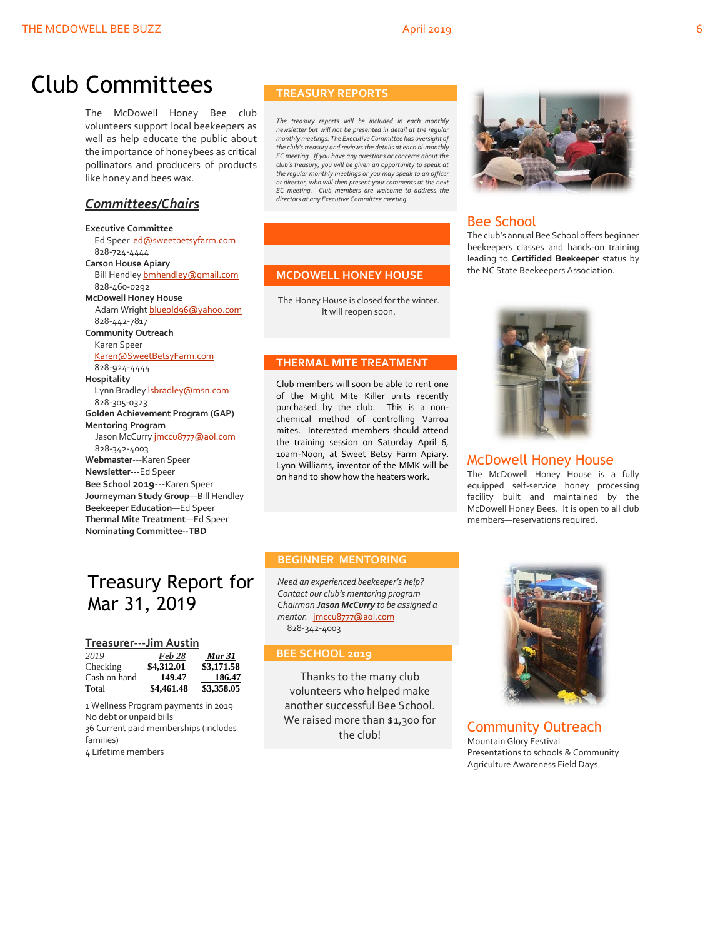## Club Committees

The McDowell Honey Bee club volunteers support local beekeepers as well as help educate the public about the importance of honeybees as critical pollinators and producers of products like honey and bees wax.

### *Committees/Chairs*

#### **Executive Committee**

 Ed Speer [ed@sweetbetsyfarm.com](mailto:ed@sweetbetsyfarm.com) 828-724-4444 **Carson House Apiary** Bill Hendley bmhendley@qmail.com 828-460-0292 **McDowell Honey House** Adam Wright [blueold96@yahoo.com](mailto:blueold96@yahoo.com) 828-442-7817 **Community Outreach** Karen Speer [Karen@SweetBetsyFarm.com](mailto:Karen@SweetBetsyFarm.com) 828-924-4444 **Hospitality** Lynn Bradley *Isbradley* @msn.com 828-305-0323 **Golden Achievement Program (GAP) Mentoring Program** Jason McCurry [jmccu8777@aol.com](mailto:jmccu8777@aol.com) 828-342-4003 **Webmaster**---Karen Speer **Newsletter---**Ed Speer **Bee School 2019**---Karen Speer **Journeyman Study Group**—Bill Hendley **Beekeeper Education**—Ed Speer **Thermal Mite Treatment**—Ed Speer **Nominating Committee--TBD**

### Treasury Report for Mar 31, 2019

#### **Treasurer---Jim Austin**

| 2019         | <b>Feb 28</b> | <b>Mar 31</b> |
|--------------|---------------|---------------|
| Checking     | \$4,312.01    | \$3,171.58    |
| Cash on hand | 149.47        | 186.47        |
| Total        | \$4,461.48    | \$3,358.05    |

1 Wellness Program payments in 2019 No debt or unpaid bills 36 Current paid memberships (includes families) 4 Lifetime members

#### **TREASURY REPORTS**

*The treasury reports will be included in each monthly newsletter but will not be presented in detail at the regular monthly meetings. The Executive Committee has oversight of the club's treasury and reviews the details at each bi-monthly EC meeting. If you have any questions or concerns about the club's treasury, you will be given an opportunity to speak at the regular monthly meetings or you may speak to an officer or director, who will then present your comments at the next EC meeting. Club members are welcome to address the directors at any Executive Committee meeting.*

#### **MCDOWELL HONEY HOUSE**

The Honey House is closed for the winter. It will reopen soon.

#### **THERMAL MITE TREATMENT**

Club members will soon be able to rent one of the Might Mite Killer units recently purchased by the club. This is a nonchemical method of controlling Varroa mites. Interested members should attend the training session on Saturday April 6, 10am-Noon, at Sweet Betsy Farm Apiary. Lynn Williams, inventor of the MMK will be on hand to show how the heaters work.



### Bee School

The club's annual Bee School offers beginner beekeepers classes and hands-on training leading to **Certifided Beekeeper** status by the NC State Beekeepers Association.



#### McDowell Honey House

The McDowell Honey House is a fully equipped self-service honey processing facility built and maintained by the McDowell Honey Bees. It is open to all club members—reservations required.

#### **BEGINNER MENTORING**

*Need an experienced beekeeper's help? Contact our club's mentoring program Chairman Jason McCurry to be assigned a mentor.* [jmccu8777@aol.com](mailto:jmccu8777@aol.com) 828-342-4003

#### **BEE SCHOOL 2019**

Thanks to the many club volunteers who helped make another successful Bee School. We raised more than \$1,300 for the club!



Community Outreach Mountain Glory Festival Presentations to schools & Community Agriculture Awareness Field Days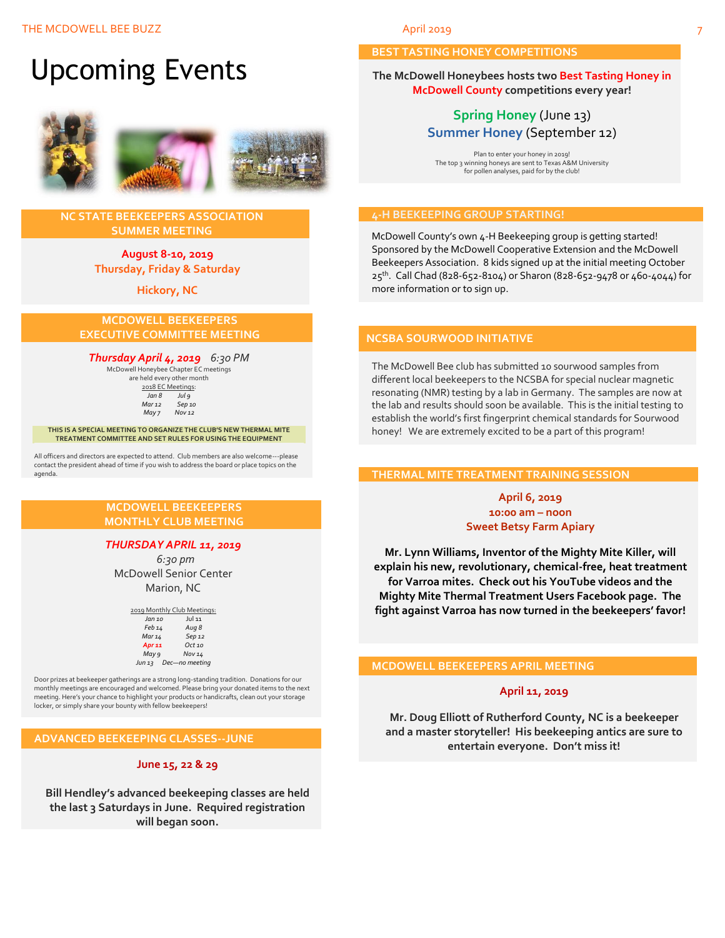

#### **NC STATE BEEKEEPERS ASSOCIATION SUMMER MEETING**

#### **August 8-10, 2019 Thursday, Friday & Saturday**

**Hickory, NC**

#### **MCDOWELL BEEKEEPERS EXECUTIVE COMMITTEE MEETING**

#### *Thursday April 4, 2019 6:30 PM*

McDowell Honeybee Chapter EC meetings are held every other month  $\frac{2018 \text{ EC Meetings}}{\ln 8}$ *Jul 9 Mar 12 Sep 10 May 7 Nov 12*

**THIS IS A SPECIAL MEETING TO ORGANIZE THE CLUB'S NEW THERMAL MITE TREATMENT COMMITTEE AND SET RULES FOR USING THE EQUIPMENT**

All officers and directors are expected to attend. Club members are also welcome---please contact the president ahead of time if you wish to address the board or place topics on the agenda.

#### **MCDOWELL BEEKEEPERS MONTHLY CLUB MEETING**

### *THURSDAY APRIL 11, 2019*

 *6:30 pm* McDowell Senior Center Marion, NC

|                   | 2019 Monthly Club Meetings: |
|-------------------|-----------------------------|
| Jan 10            | <b>Jul 11</b>               |
| Feb 14            | Aug 8                       |
| Mar 14            | Sep 12                      |
| Apr <sub>11</sub> | $Oct$ <sub>10</sub>         |
| May 9             | <b>Nov 14</b>               |
| Jun 13            | Dec-no meeting              |

Door prizes at beekeeper gatherings are a strong long-standing tradition. Donations for our monthly meetings are encouraged and welcomed. Please bring your donated items to the next meeting. Here's your chance to highlight your products or handicrafts, clean out your storage locker, or simply share your bounty with fellow beekeepers!

#### **ADVANCED BEEKEEPING CLASSES--JUNE**

#### **June 15, 22 & 29**

**Bill Hendley's advanced beekeeping classes are held the last 3 Saturdays in June. Required registration will began soon.**

#### **BEST TASTING HONEY COMPETITIONS**

**The McDowell Honeybees hosts two Best Tasting Honey in McDowell County competitions every year!**

### **Spring Honey** (June 13) **Summer Honey** (September 12)

Plan to enter your honey in 2019! The top 3 winning honeys are sent to Texas A&M University for pollen analyses, paid for by the club!

#### **4-H BEEKEEPING GROUP STARTING!**

McDowell County's own 4-H Beekeeping group is getting started! Sponsored by the McDowell Cooperative Extension and the McDowell Beekeepers Association. 8 kids signed up at the initial meeting October 25<sup>th</sup>. Call Chad (828-652-8104) or Sharon (828-652-9478 or 460-4044) for more information or to sign up.

#### **NCSBA SOURWOOD INITIATIVE**

The McDowell Bee club has submitted 10 sourwood samples from different local beekeepers to the NCSBA for special nuclear magnetic resonating (NMR) testing by a lab in Germany. The samples are now at the lab and results should soon be available. This is the initial testing to establish the world's first fingerprint chemical standards for Sourwood honey! We are extremely excited to be a part of this program!

#### **THERMAL MITE TREATMENT TRAINING SESSION**

#### **April 6, 2019 10:00 am – noon Sweet Betsy Farm Apiary**

**Mr. Lynn Williams, Inventor of the Mighty Mite Killer, will explain his new, revolutionary, chemical-free, heat treatment for Varroa mites. Check out his YouTube videos and the Mighty Mite Thermal Treatment Users Facebook page. The fight against Varroa has now turned in the beekeepers' favor!**

#### **MCDOWELL BEEKEEPERS APRIL MEETING**

#### **April 11, 2019**

**Mr. Doug Elliott of Rutherford County, NC is a beekeeper and a master storyteller! His beekeeping antics are sure to entertain everyone. Don't miss it!**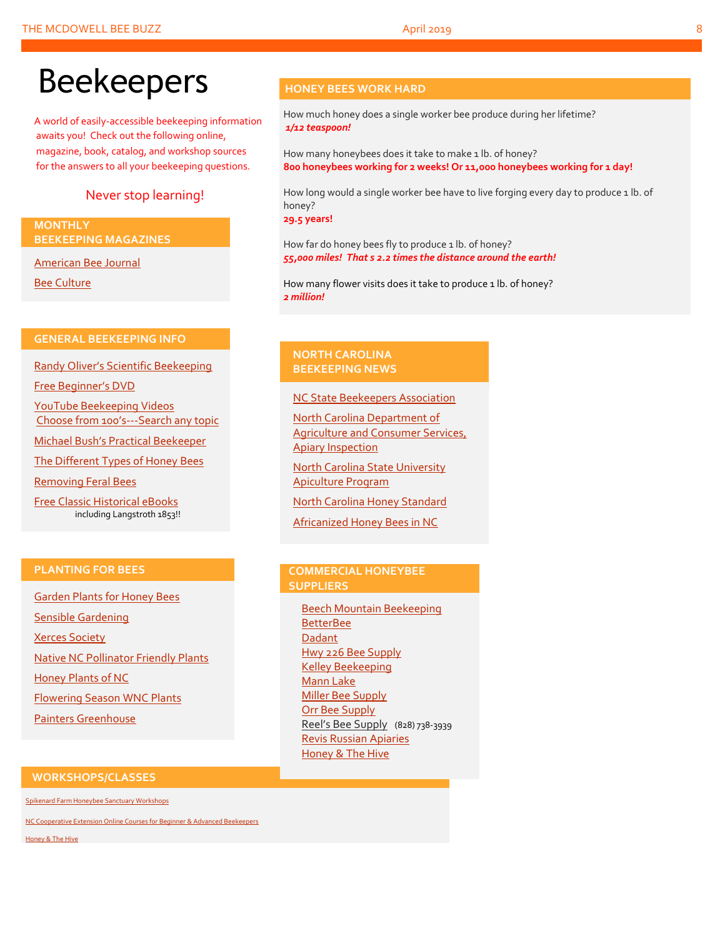# Beekeepers

A world of easily-accessible beekeeping information awaits you! Check out the following online, magazine, book, catalog, and workshop sources for the answers to all your beekeeping questions.

### Never stop learning!

#### **MONTHLY BEEKEEPING MAGAZINES**

[American Bee Journal](http://www.americanbeejournal.com/)

[Bee Culture](http://www.beeculture.com/)

#### **GENERAL BEEKEEPING INFO**

Randy Oliver's [Scientific Beekeeping](http://scientificbeekeeping.com/)

[Free Beginner's DVD](http://www.worldofbeekeeping.com/free-kit/)

[YouTube Beekeeping Videos](https://www.youtube.com/results?search_query=beekeeping) Choose from 100's[---Search any topic](https://www.youtube.com/results?search_query=beekeeping)

[Michael Bush's Practical Beekeeper](http://www.bushfarms.com/bees.htm)

[The Different Types of Honey Bees](https://www.cals.ncsu.edu/entomology/apiculture/pdfs/1.12%20copy.pdf)

[Removing Feral Bees](http://www.ces.ncsu.edu/depts/ent/notes/Urban/bees-faq.htm)

[Free Classic Historical eBooks](http://www.apiculture-populaire.com/) including Langstroth 1853!!

### **HONEY BEES WORK HARD**

How much honey does a single worker bee produce during her lifetime? *1/12 teaspoon!*

How many honeybees does it take to make 1 lb. of honey? **800 honeybees working for 2 weeks! Or 11,000 honeybees working for 1 day!**

How long would a single worker bee have to live forging every day to produce 1 lb. of honey?

**29.5 years!**

How far do honey bees fly to produce 1 lb. of honey? *55,000 miles! That s 2.2 times the distance around the earth!*

How many flower visits does it take to produce 1 lb. of honey? *2 million!*

#### **NORTH CAROLINA BEEKEEPING NEWS**

#### [NC State Beekeepers Association](http://www.ncbeekeepers.org/)

[North Carolina Department of](http://www.ncbeekeepers.org/resources/apiary-inspection-program)  [Agriculture and Consumer Services,](http://www.ncbeekeepers.org/resources/apiary-inspection-program)  [Apiary Inspection](http://www.ncbeekeepers.org/resources/apiary-inspection-program)

[North Carolina State University](http://entomology.ncsu.edu/apiculture)  [Apiculture Program](http://entomology.ncsu.edu/apiculture)

[North Carolina Honey Standard](http://www.ncbeekeepers.org/honey/nc-honey-standard)

[Africanized Honey Bees in NC](http://wncbees.org/wp-content/uploads/2014/08/AHBs-Some-questions-and-answers-NCSU-1.03.pdf)

#### **PLANTING FOR BEES**

[Garden Plants for Honey Bees](http://www.wicwas.com/Garden_Plants_for_Honey_Bees) [Sensible Gardening](http://sensiblegardening.com/busy-busy-bees/) [Xerces Society](http://www.xerces.org/pollinator-conservation/gardens/) [Native NC Pollinator Friendly Plants](http://wncbees.org/wp-content/uploads/2014/07/Recommended-Polliinator-Friendly-Plant-List-for-Greater-Asheville-NC-with-Nurseries.pdf) [Honey Plants of NC](http://wncbees.org/wp-content/uploads/2014/08/Honey-Plants-of-North-Carolina-NCSU-1.04.pdf) [Flowering Season WNC Plants](http://wncbees.org/wp-content/uploads/2014/07/Typical-Flowering-Seasons-for-Western-North-Carolina-Honey-and-Pollen-Sources-Edd-Buchanan-John-Mundy-Chris-Mathis.pdf) [Painters Greenhouse](http://www.paintersgreenhouse.com/)

#### **COMMERCIAL HONEYBEE SUPPLIERS**

[Beech Mountain Beekeeping](http://beechmountainbeesupply.com/store/cart.php) **[BetterBee](http://www.betterbee.com/)** [Dadant](https://www.dadant.com/) [Hwy 226 Bee Supply](http://hwy226beesupplies.com/) [Kelley Beekeeping](https://www.kelleybees.com/) [Mann Lake](http://www.mannlakeltd.com/) [Miller Bee Supply](http://millerbeesupply.com/catalog/) [Orr Bee Supply](http://www.orrbeesupply.com/) Reel's Bee Supply (828) 738-3939 [Revis Russian Apiaries](http://revisrussians.com/) [Honey & The Hive](https://www.honeyandthehivenc.com/)

#### **WORKSHOPS/CLASSES**

[Spikenard Farm Honeybee Sanctuary Workshops](http://spikenardfarm.org/)

[NC Cooperative Extension Online Courses for Beginner &](https://entomology.ces.ncsu.edu/apiculture/bees/) Advanced Beekeepers

[Honey & The Hive](https://www.honeyandthehivenc.com/)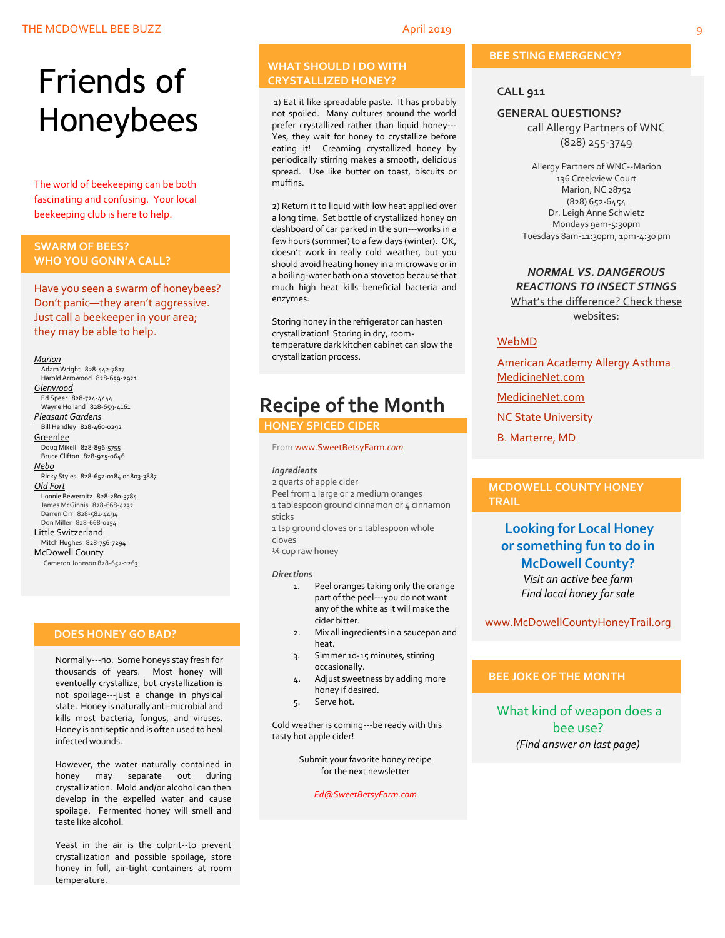# Friends of Honeybees

The world of beekeeping can be both fascinating and confusing. Your local beekeeping club is here to help.

#### <span id="page-8-0"></span>**SWARM OF BEES? WHO YOU GONN'A CALL?**

Have you seen a swarm of honeybees? Don't panic—they aren't aggressive. Just call a beekeeper in your area; they may be able to help.

#### *Marion*

 Adam Wright 828-442-7817 Harold Arrowood 828-659-2921 *Glenwood* Ed Speer 828-724-4444 Wayne Holland 828-659-4161 *Pleasant Gardens* Bill Hendley 828-460-0292 **Greenlee**  Doug Mikell 828-896-5755 Bruce Clifton 828-925-0646 *Nebo* Ricky Styles 828-652-0184 or 803-3887 *Old Fort* Lonnie Bewernitz 828-280-3784 James McGinnis 828-668-4232 Darren Orr 828-581-4494 Don Miller 828-668-0154 Little Switzerland Mitch Hughes 828-756-7294 McDowell County Cameron Johnson 828-652-1263

#### **DOES HONEY GO BAD?**

Normally---no. Some honeys stay fresh for thousands of years. Most honey will eventually crystallize, but crystallization is not spoilage---just a change in physical state. Honey is naturally anti-microbial and kills most bacteria, fungus, and viruses. Honey is antiseptic and is often used to heal infected wounds.

However, the water naturally contained in honey may separate out during crystallization. Mold and/or alcohol can then develop in the expelled water and cause spoilage. Fermented honey will smell and taste like alcohol.

Yeast in the air is the culprit--to prevent crystallization and possible spoilage, store honey in full, air-tight containers at room temperature.

#### **WHAT SHOULD I DO WITH CRYSTALLIZED HONEY?**

1) Eat it like spreadable paste. It has probably not spoiled. Many cultures around the world prefer crystallized rather than liquid honey--- Yes, they wait for honey to crystallize before eating it! Creaming crystallized honey by periodically stirring makes a smooth, delicious spread. Use like butter on toast, biscuits or muffins.

2) Return it to liquid with low heat applied over a long time. Set bottle of crystallized honey on dashboard of car parked in the sun---works in a few hours (summer) to a few days (winter). OK, doesn't work in really cold weather, but you should avoid heating honey in a microwave or in a boiling-water bath on a stovetop because that much high heat kills beneficial bacteria and enzymes.

Storing honey in the refrigerator can hasten crystallization! Storing in dry, roomtemperature dark kitchen cabinet can slow the crystallization process.

## **Recipe of the Month**

 **HONEY SPICED CIDER**

#### Fro[m www.SweetBetsyFarm.](http://www.sweetbetsyfarm.com/)*com*

#### *Ingredients*

2 quarts of apple cider Peel from 1 large or 2 medium oranges 1 tablespoon ground cinnamon or 4 cinnamon sticks

1 tsp ground cloves or 1 tablespoon whole cloves

¼ cup raw honey

#### *Directions*

- 1. Peel oranges taking only the orange part of the peel---you do not want any of the white as it will make the cider bitter.
- 2. Mix all ingredients in a saucepan and heat.
- 3. Simmer 10-15 minutes, stirring occasionally.
- 4. Adjust sweetness by adding more honey if desired.
- 5. Serve hot.

Cold weather is coming---be ready with this tasty hot apple cider!

> Submit your favorite honey recipe for the next newsletter

> > *Ed@SweetBetsyFarm.com*

#### **BEE STING EMERGENCY?**

#### **CALL 911**

#### **GENERAL QUESTIONS?**

call Allergy Partners of WNC (828) 255-3749

Allergy Partners of WNC--Marion 136 Creekview Court Marion, NC 28752 (828) 652-6454 Dr. Leigh Anne Schwietz Mondays 9am-5:30pm Tuesdays 8am-11:30pm, 1pm-4:30 pm

#### *NORMAL VS. DANGEROUS REACTIONS TO INSECT STINGS* What's the difference? Check these

websites:

#### [WebMD](http://www.webmd.com/allergies/guide/insect-stings)

[American Academy Allergy Asthma](http://www.aaaai.org/conditions-and-treatments/library/allergy-library/stinging-insect-allergy.aspx) [MedicineNet.com](http://www.medicinenet.com/insect_sting_allergies/article.htm)

[MedicineNet.com](http://www.medicinenet.com/insect_sting_allergies/article.htm)

**[NC State University](http://wncbees.org/wp-content/uploads/2014/08/Allergy-to-Insect-Stings-NCSU-1.09.pdf)** 

[B. Marterre, MD](http://wncbees.org/wp-content/uploads/2014/08/Bee-Stings-Immunology-Allergy-and-Treatment-Marterre.pdf)

#### **MCDOWELL COUNTY HONEY TRAIL**

### **Looking for Local Honey or something fun to do in McDowell County?** *Visit an active bee farm Find local honey for sale*

[www.McDowellCountyHoneyTrail.org](http://www.mcdowellcountyhoneytrail.org/)

#### **BEE JOKE OF THE MONTH**

What kind of weapon does a bee use? *(Find answer on last page)*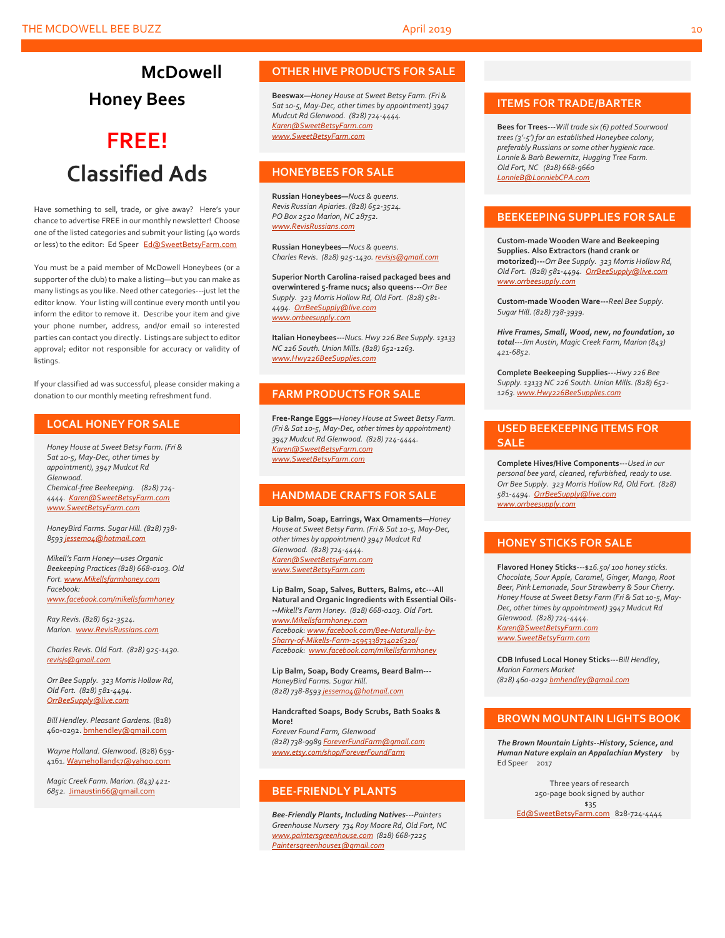## **McDowell Honey Bees**

## **FREE! Classified Ads**

Have something to sell, trade, or give away? Here's your chance to advertise FREE in our monthly newsletter! Choose one of the listed categories and submit your listing (40 words or less) to the editor: Ed Speer [Ed@SweetBetsyFarm.com](mailto:Ed@SweetBetsyFarm.com)

You must be a paid member of McDowell Honeybees (or a supporter of the club) to make a listing—but you can make as many listings as you like. Need other categories---just let the editor know. Your listing will continue every month until you inform the editor to remove it. Describe your item and give your phone number, address, and/or email so interested parties can contact you directly. Listings are subject to editor approval; editor not responsible for accuracy or validity of listings.

If your classified ad was successful, please consider making a donation to our monthly meeting refreshment fund.

#### **LOCAL HONEY FOR SALE**

*Honey House at Sweet Betsy Farm. (Fri & Sat 10-5, May-Dec, other times by appointment), 3947 Mudcut Rd Glenwood. Chemical-free Beekeeping. (828) 724- 4444. [Karen@SweetBetsyFarm.com](mailto:Karen@SweetBetsyFarm.com) www.SweetBetsyFarm.com*

*HoneyBird Farms. Sugar Hill. (828) 738- 859[3 jessem04@hotmail.com](mailto:jessem04@hotmail.com)*

*Mikell's Farm Honey—uses Organic Beekeeping Practices (828) 668-0103. Old Fort[. www.Mikellsfarmhoney.com](http://www.mikellsfarmhoney.com/) Facebook: [www.facebook.com/mikellsfarmhoney](http://www.facebook.com/mikellsfarmhoney)*

*Ray Revis. (828) 652-3524. Marion. [www.RevisRussians.com](http://www.revisrussians.com/)*

*Charles Revis. Old Fort. (828) 925-1430. [revisjs@gmail.com](mailto:revisjs@gmail.com)*

*Orr Bee Supply. 323 Morris Hollow Rd, Old Fort. (828) 581-4494. [OrrBeeSupply@live.com](mailto:OrrBeeSupply@live.com)*

*Bill Hendley. Pleasant Gardens.* (828) 460-0292[. bmhendley@gmail.com](mailto:bmhendley@gmail.com)

*Wayne Holland. Glenwood.* (828) 659- 4161[. Wayneholland57@yahoo.com](mailto:Wayneholland57@yahoo.com)

*Magic Creek Farm. Marion. (843) 421- 6852.* [Jimaustin66@gmail.com](mailto:Jimaustin66@gmail.com)

#### **OTHER HIVE PRODUCTS FOR SALE**

**Beeswax—***Honey House at Sweet Betsy Farm. (Fri & Sat 10-5, May-Dec, other times by appointment) 3947 Mudcut Rd Glenwood. (828) 724-4444. [Karen@SweetBetsyFarm.com](mailto:Karen@SweetBetsyFarm.com) www.SweetBetsyFarm.com*

#### **HONEYBEES FOR SALE**

**Russian Honeybees—***Nucs & queens. Revis Russian Apiaries. (828) 652-3524. PO Box 2520 Marion, NC 28752. [www.RevisRussians.com](http://www.revisrussians.com/)*

**Russian Honeybees—***Nucs & queens. Charles Revis. (828) 925-1430. [revisjs@gmail.com](mailto:revisjs@gmail.com)*

**Superior North Carolina-raised packaged bees and overwintered 5-frame nucs; also queens---***Orr Bee Supply. 323 Morris Hollow Rd, Old Fort. (828) 581- 4494. [OrrBeeSupply@live.com](mailto:OrrBeeSupply@live.com) www.orrbeesupply.com*

**Italian Honeybees---***Nucs. Hwy 226 Bee Supply. 13133 NC 226 South. Union Mills. (828) 652-1263. [www.Hwy226BeeSupplies.com](http://www.hwy226beesupplies.com/)*

#### **FARM PRODUCTS FOR SALE**

**Free-Range Eggs—***Honey House at Sweet Betsy Farm. (Fri & Sat 10-5, May-Dec, other times by appointment) 3947 Mudcut Rd Glenwood. (828) 724-4444. [Karen@SweetBetsyFarm.com](mailto:Karen@SweetBetsyFarm.com) www.SweetBetsyFarm.com*

#### **HANDMADE CRAFTS FOR SALE**

**Lip Balm, Soap, Earrings, Wax Ornaments—***Honey House at Sweet Betsy Farm. (Fri & Sat 10-5, May-Dec, other times by appointment) 3947 Mudcut Rd Glenwood. (828) 724-4444. [Karen@SweetBetsyFarm.com](mailto:Karen@SweetBetsyFarm.com) [www.SweetBetsyFarm.com](http://www.sweetbetsyfarm.com/)*

**Lip Balm, Soap, Salves, Butters, Balms, etc---All Natural and Organic Ingredients with Essential Oils- --***Mikell's Farm Honey. (828) 668-0103. Old Fort. [www.Mikellsfarmhoney.com](http://www.mikellsfarmhoney.com/) Facebook[: www.facebook.com/Bee-Naturally-by-](http://www.facebook.com/Bee-Naturally-by-Sharry-of-Mikells-Farm-1595338734026320/)[Sharry-of-Mikells-Farm-1595338734026320/](http://www.facebook.com/Bee-Naturally-by-Sharry-of-Mikells-Farm-1595338734026320/) Facebook: [www.facebook.com/mikellsfarmhoney](http://www.facebook.com/mikellsfarmhoney)*

**Lip Balm, Soap, Body Creams, Beard Balm---** *HoneyBird Farms. Sugar Hill. (828) 738-859[3 jessem04@hotmail.com](mailto:jessem04@hotmail.com)*

**Handcrafted Soaps, Body Scrubs, Bath Soaks & More!**

*Forever Found Farm, Glenwood (828) 738-9989 [ForeverFundFarm@gmail.com](mailto:ForeverFundFarm@gmail.com) [www.etsy.com/shop/ForeverFoundFarm](http://www.etsy.com/shop/ForeverFoundFarm)*

#### **BEE-FRIENDLY PLANTS**

*Bee-Friendly Plants, Including Natives---Painters Greenhouse Nursery 734 Roy Moore Rd, Old Fort, NC [www.paintersgreenhouse.com](http://www.paintersgreenhouse.com/) (828) 668-7225 [Paintersgreenhouse1@gmail.com](mailto:Paintersgreenhouse1@gmail.com)*

#### **ITEMS FOR TRADE/BARTER**

**Bees for Trees---***Will trade six (6) potted Sourwood trees (3'-5') for an established Honeybee colony, preferably Russians or some other hygienic race. Lonnie & Barb Bewernitz, Hugging Tree Farm. Old Fort, NC (828) 668-9660 [LonnieB@LonniebCPA.com](mailto:LonnieB@LonniebCPA.com)*

#### **BEEKEEPING SUPPLIES FOR SALE**

**Custom-made Wooden Ware and Beekeeping Supplies. Also Extractors (hand crank or motorized)---***Orr Bee Supply. 323 Morris Hollow Rd, Old Fort. (828) 581-4494. [OrrBeeSupply@live.com](mailto:OrrBeeSupply@live.com) [www.orrbeesupply.com](file:///K:/McDowell%20Honeybees/2016/2016%20Newsletters/May%202016%20Newsletter/www.orrbeesupply.com)*

**Custom-made Wooden Ware---***Reel Bee Supply. Sugar Hill. (828) 738-3939.*

*Hive Frames, Small, Wood, new, no foundation, 10 total---Jim Austin, Magic Creek Farm, Marion (843) 421-6852.*

**Complete Beekeeping Supplies---***Hwy 226 Bee Supply. 13133 NC 226 South. Union Mills. (828) 652- 1263[. www.Hwy226BeeSupplies.com](http://www.hwy226beesupplies.com/)*

#### **USED BEEKEEPING ITEMS FOR SALE**

**Complete Hives/Hive Components**---*Used in our personal bee yard, cleaned, refurbished, ready to use. Orr Bee Supply. 323 Morris Hollow Rd, Old Fort. (828) 581-4494. [OrrBeeSupply@live.com](mailto:OrrBeeSupply@live.com) [www.orrbeesupply.com](file:///K:/McDowell%20Honeybees/2016/2016%20Newsletters/May%202016%20Newsletter/www.orrbeesupply.com)*

#### **HONEY STICKS FOR SALE**

**Flavored Honey Sticks**---\$*16.50/ 100 honey sticks. Chocolate, Sour Apple, Caramel, Ginger, Mango, Root Beer, Pink Lemonade, Sour Strawberry & Sour Cherry. Honey House at Sweet Betsy Farm (Fri & Sat 10-5, May-Dec, other times by appointment) 3947 Mudcut Rd Glenwood. (828) 724-4444. [Karen@SweetBetsyFarm.com](mailto:Karen@SweetBetsyFarm.com) www.SweetBetsyFarm.com*

**CDB Infused Local Honey Sticks---***Bill Hendley, Marion Farmers Market (828) 460-029[2 bmhendley@gmail.com](mailto:bmhendley@gmail.com)*

#### **BROWN MOUNTAIN LIGHTS BOOK**

*The Brown Mountain Lights--History, Science, and Human Nature explain an Appalachian Mystery* by Ed Speer 2017

> Three years of research 250-page book signed by author \$35

[Ed@SweetBetsyFarm.com](mailto:Ed@SweetBetsyFarm.com) 828-724-4444